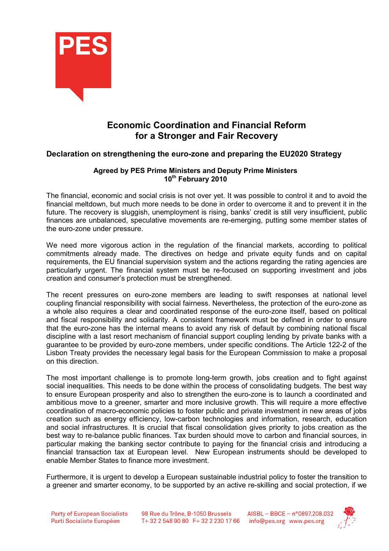

## Economic Coordination and Financial Reform for a Stronger and Fair Recovery

## Declaration on strengthening the euro-zone and preparing the EU2020 Strategy

## Agreed by PES Prime Ministers and Deputy Prime Ministers 10<sup>th</sup> February 2010

The financial, economic and social crisis is not over yet. It was possible to control it and to avoid the financial meltdown, but much more needs to be done in order to overcome it and to prevent it in the future. The recovery is sluggish, unemployment is rising, banks' credit is still very insufficient, public finances are unbalanced, speculative movements are re-emerging, putting some member states of the euro-zone under pressure.

We need more vigorous action in the regulation of the financial markets, according to political commitments already made. The directives on hedge and private equity funds and on capital requirements, the EU financial supervision system and the actions regarding the rating agencies are particularly urgent. The financial system must be re-focused on supporting investment and jobs creation and consumer's protection must be strengthened.

The recent pressures on euro-zone members are leading to swift responses at national level coupling financial responsibility with social fairness. Nevertheless, the protection of the euro-zone as a whole also requires a clear and coordinated response of the euro-zone itself, based on political and fiscal responsibility and solidarity. A consistent framework must be defined in order to ensure that the euro-zone has the internal means to avoid any risk of default by combining national fiscal discipline with a last resort mechanism of financial support coupling lending by private banks with a guarantee to be provided by euro-zone members, under specific conditions. The Article 122-2 of the Lisbon Treaty provides the necessary legal basis for the European Commission to make a proposal on this direction.

The most important challenge is to promote long-term growth, jobs creation and to fight against social inequalities. This needs to be done within the process of consolidating budgets. The best way to ensure European prosperity and also to strengthen the euro-zone is to launch a coordinated and ambitious move to a greener, smarter and more inclusive growth. This will require a more effective coordination of macro-economic policies to foster public and private investment in new areas of jobs creation such as energy efficiency, low-carbon technologies and information, research, education and social infrastructures. It is crucial that fiscal consolidation gives priority to jobs creation as the best way to re-balance public finances. Tax burden should move to carbon and financial sources, in particular making the banking sector contribute to paying for the financial crisis and introducing a financial transaction tax at European level. New European instruments should be developed to enable Member States to finance more investment.

Furthermore, it is urgent to develop a European sustainable industrial policy to foster the transition to a greener and smarter economy, to be supported by an active re-skilling and social protection, if we